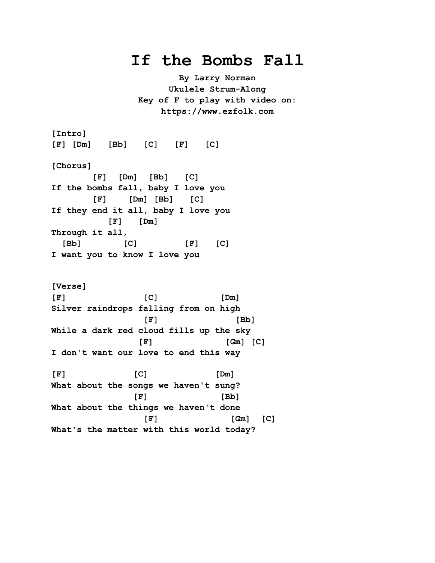## **If the Bombs Fall**

**By Larry Norman Ukulele Strum-Along Key of F to play with video on: https://www.ezfolk.com**

**[Intro] [F] [Dm] [Bb] [C] [F] [C] [Chorus] [F] [Dm] [Bb] [C] If the bombs fall, baby I love you [F] [Dm] [Bb] [C] If they end it all, baby I love you [F] [Dm] Through it all, [Bb] [C] [F] [C] I want you to know I love you**

**[Verse] [F] [C] [Dm] Silver raindrops falling from on high [F] [Bb] While a dark red cloud fills up the sky [F] [Gm] [C] I don't want our love to end this way [F] [C] [Dm] What about the songs we haven't sung? [F] [Bb] What about the things we haven't done [F] [Gm] [C] What's the matter with this world today?**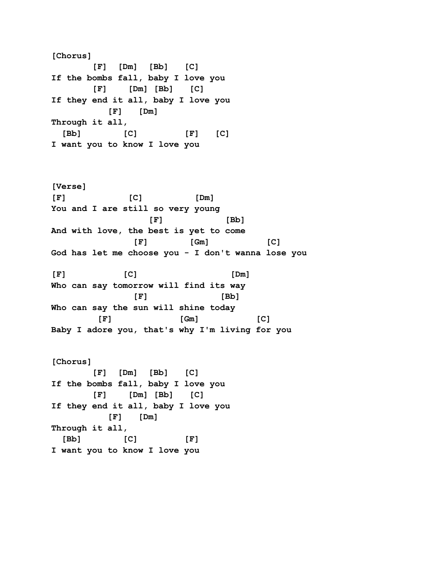**[Chorus] [F] [Dm] [Bb] [C] If the bombs fall, baby I love you [F] [Dm] [Bb] [C] If they end it all, baby I love you [F] [Dm] Through it all, [Bb] [C] [F] [C] I want you to know I love you**

**[Verse] [F] [C] [Dm] You and I are still so very young [F] [Bb] And with love, the best is yet to come [F] [Gm] [C] God has let me choose you - I don't wanna lose you**

**[F] [C] [Dm] Who can say tomorrow will find its way [F] [Bb] Who can say the sun will shine today [F] [Gm] [C] Baby I adore you, that's why I'm living for you**

**[Chorus] [F] [Dm] [Bb] [C] If the bombs fall, baby I love you [F] [Dm] [Bb] [C] If they end it all, baby I love you [F] [Dm] Through it all, [Bb] [C] [F] I want you to know I love you**